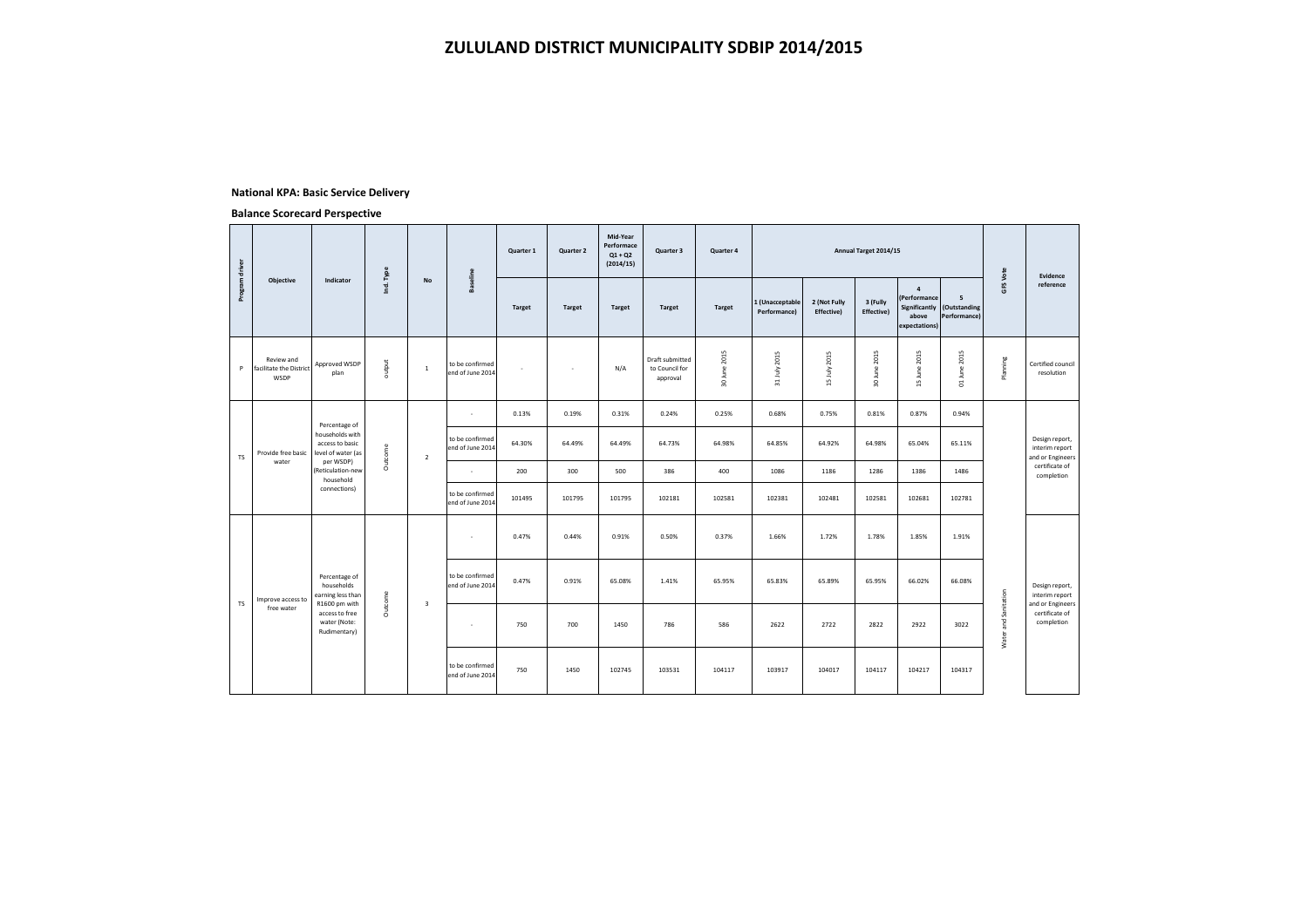#### **National KPA: Basic Service Delivery**

|                |                                               |                                                                           |                |                |                                     | Quarter 1     | Quarter 2     | Mid-Year<br>Performace<br>$Q1 + Q2$<br>(2014/15) | Quarter 3                                            | Quarter 4     |                                 |                            | Annual Target 2014/15  |                                                          |                                                 |                      | Evidence                                             |
|----------------|-----------------------------------------------|---------------------------------------------------------------------------|----------------|----------------|-------------------------------------|---------------|---------------|--------------------------------------------------|------------------------------------------------------|---------------|---------------------------------|----------------------------|------------------------|----------------------------------------------------------|-------------------------------------------------|----------------------|------------------------------------------------------|
| Program driver | Objective                                     | Indicator                                                                 | Ind. Type      | No             | <b>Baseline</b>                     | <b>Target</b> | <b>Target</b> | <b>Target</b>                                    | <b>Target</b>                                        | <b>Target</b> | 1 (Unacceptable<br>Performance) | 2 (Not Fully<br>Effective) | 3 (Fully<br>Effective) | $\overline{4}$<br>(Performance<br>above<br>expectations) | 5<br>Significantly (Outstanding<br>Performance) | GFS Vote             | reference                                            |
| P              | Review and<br>facilitate the District<br>WSDP | Approved WSDP<br>plan                                                     | output         | $\,$ 1         | to be confirmed<br>end of June 2014 | J.            | ٠             | N/A                                              | <b>Draft submitted</b><br>to Council for<br>approval | 30 June 2015  | 31 July 2015                    | 15 July 2015               | 30 June 2015           | 15 June 2015                                             | 01 June 2015                                    | Planning             | Certified council<br>resolution                      |
|                |                                               |                                                                           |                |                | $\mathbf{r}$                        | 0.13%         | 0.19%         | 0.31%                                            | 0.24%                                                | 0.25%         | 0.68%                           | 0.75%                      | 0.81%                  | 0.87%                                                    | 0.94%                                           |                      |                                                      |
| TS.            | Provide free basic                            | Percentage of<br>households with<br>access to basic<br>level of water (as | Outcome        | $\overline{2}$ | to be confirmed<br>end of June 2014 | 64.30%        | 64.49%        | 64.49%                                           | 64.73%                                               | 64.98%        | 64.85%                          | 64.92%                     | 64.98%                 | 65.04%                                                   | 65.11%                                          |                      | Design report,<br>interim report<br>and or Engineers |
|                | water                                         | per WSDP)<br>Reticulation-new<br>household                                |                |                |                                     | 200           | 300           | 500                                              | 386                                                  | 400           | 1086                            | 1186                       | 1286                   | 1386                                                     | 1486                                            |                      | certificate of<br>completion                         |
|                |                                               | connections)                                                              |                |                | to be confirmed<br>end of June 2014 | 101495        | 101795        | 101795                                           | 102181                                               | 102581        | 102381                          | 102481                     | 102581                 | 102681                                                   | 102781                                          |                      |                                                      |
|                |                                               |                                                                           |                |                | ÷                                   | 0.47%         | 0.44%         | 0.91%                                            | 0.50%                                                | 0.37%         | 1.66%                           | 1.72%                      | 1.78%                  | 1.85%                                                    | 1.91%                                           |                      |                                                      |
|                | Improve access to                             | Percentage of<br>households<br>earning less than                          |                |                | to be confirmed<br>end of June 2014 | 0.47%         | 0.91%         | 65.08%                                           | 1.41%                                                | 65.95%        | 65.83%                          | 65.89%                     | 65.95%                 | 66.02%                                                   | 66.08%                                          |                      | Design report,<br>interim report                     |
| <b>TS</b>      | free water                                    | R1600 pm with<br>access to free<br>water (Note:<br>Rudimentary)           | <b>Outcome</b> | 3              | $\sim$                              | 750           | 700           | 1450                                             | 786                                                  | 586           | 2622                            | 2722                       | 2822                   | 2922                                                     | 3022                                            | Water and Sanitation | and or Engineers<br>certificate of<br>completion     |
|                |                                               |                                                                           |                |                | to be confirmed<br>end of June 2014 | 750           | 1450          | 102745                                           | 103531                                               | 104117        | 103917                          | 104017                     | 104117                 | 104217                                                   | 104317                                          |                      |                                                      |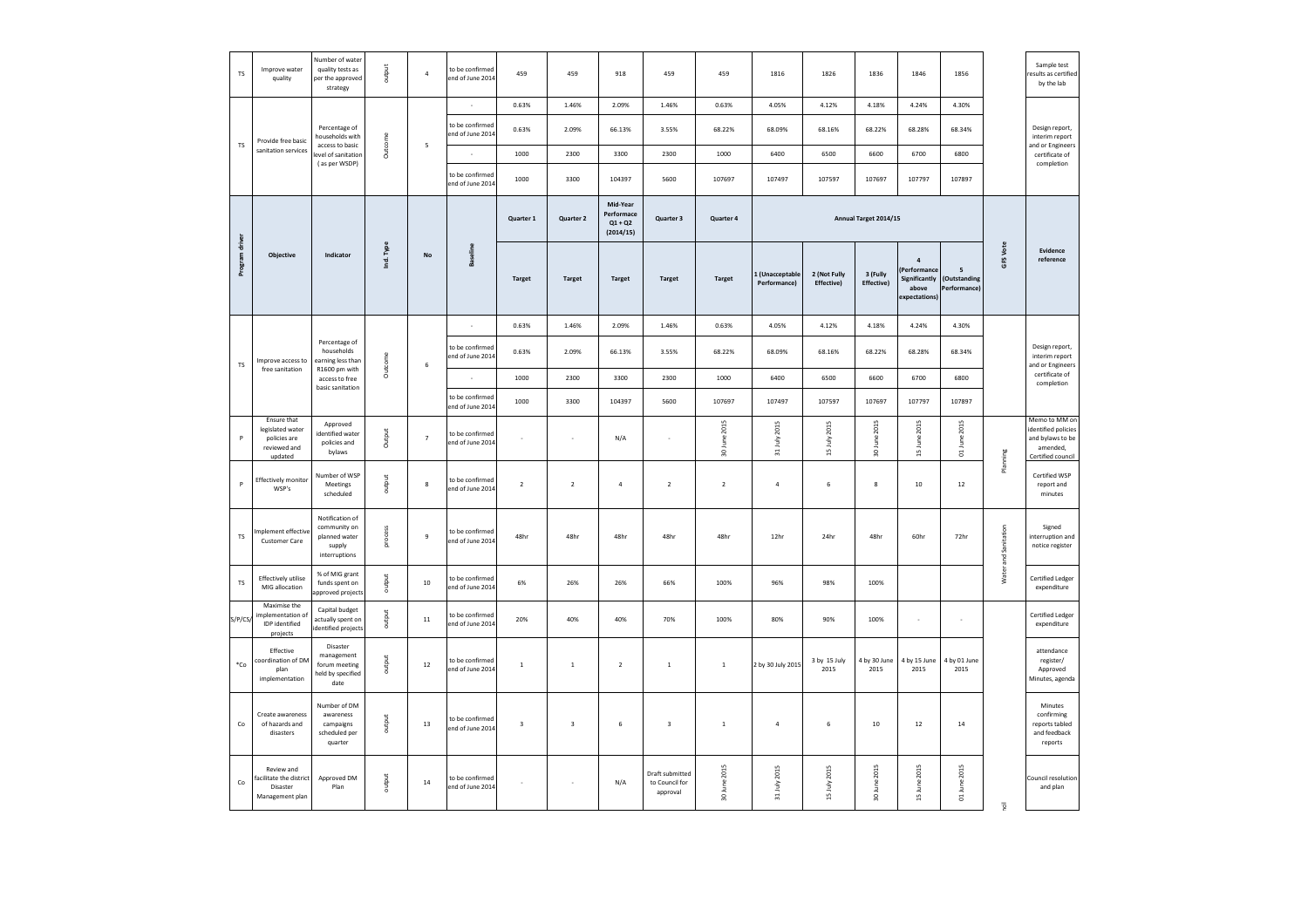| <b>TS</b>            | Improve water<br>quality                                                   | Number of water<br>quality tests as<br>per the approved<br>strategy         | output    | $\ddot{a}$               | to be confirmed<br>end of June 2014 | 459                     | 459              | 918                                              | 459                                           | 459                                   | 1816                           | 1826                              | 1836                           | 1846                                                                          | 1856                              |                      | Sample test<br>esults as certified<br>by the lab                                          |
|----------------------|----------------------------------------------------------------------------|-----------------------------------------------------------------------------|-----------|--------------------------|-------------------------------------|-------------------------|------------------|--------------------------------------------------|-----------------------------------------------|---------------------------------------|--------------------------------|-----------------------------------|--------------------------------|-------------------------------------------------------------------------------|-----------------------------------|----------------------|-------------------------------------------------------------------------------------------|
|                      |                                                                            |                                                                             |           |                          | $\sim$                              | 0.63%                   | 1.46%            | 2.09%                                            | 1.46%                                         | 0.63%                                 | 4.05%                          | 4.12%                             | 4.18%                          | 4.24%                                                                         | 4.30%                             |                      |                                                                                           |
| TS                   | Provide free basic                                                         | Percentage of<br>households with<br>access to basic                         | Outcome   | $\sf S$                  | to be confirmed<br>end of June 2014 | 0.63%                   | 2.09%            | 66.13%                                           | 3.55%                                         | 68.22%                                | 68.09%                         | 68.16%                            | 68.22%                         | 68.28%                                                                        | 68.34%                            |                      | Design report,<br>interim report<br>and or Engineers                                      |
|                      | sanitation services                                                        | level of sanitation<br>(as per WSDP)                                        |           |                          |                                     | 1000                    | 2300             | 3300                                             | 2300                                          | 1000                                  | 6400                           | 6500                              | 6600                           | 6700                                                                          | 6800                              |                      | certificate of<br>completion                                                              |
|                      |                                                                            |                                                                             |           |                          | to be confirmed<br>end of June 2014 | 1000                    | 3300             | 104397                                           | 5600                                          | 107697                                | 107497                         | 107597                            | 107697                         | 107797                                                                        | 107897                            |                      |                                                                                           |
|                      |                                                                            |                                                                             |           |                          |                                     | <b>Quarter 1</b>        | <b>Quarter 2</b> | Mid-Year<br>Performace<br>$Q1 + Q2$<br>(2014/15) | <b>Quarter 3</b>                              | <b>Quarter 4</b>                      |                                |                                   | Annual Target 2014/15          |                                                                               |                                   |                      |                                                                                           |
| Program drive        | Objective                                                                  | Indicator                                                                   | Ind. Type | $\mathsf{No}$            | <b>Baseline</b>                     | <b>Target</b>           | <b>Target</b>    | <b>Target</b>                                    | <b>Target</b>                                 | <b>Target</b>                         | 1 (Unacceptabl<br>Performance) | 2 (Not Fully<br><b>Effective)</b> | 3 (Fully<br><b>Effective</b> ) | $\overline{a}$<br>Performance<br><b>Significantly</b><br>above<br>xpectations | 5<br>(Outstanding<br>Performance) | GFS Vote             | Evidence<br>reference                                                                     |
|                      |                                                                            |                                                                             |           |                          |                                     | 0.63%                   | 1.46%            | 2.09%                                            | 1.46%                                         | 0.63%                                 | 4.05%                          | 4.12%                             | 4.18%                          | 4.24%                                                                         | 4.30%                             |                      |                                                                                           |
| TS                   | Improve access to                                                          | Percentage of<br>households<br>earning less than                            | Outcome   | 6                        | to be confirmed<br>end of June 2014 | 0.63%                   | 2.09%            | 66.13%                                           | 3.55%                                         | 68.22%                                | 68.09%                         | 68.16%                            | 68.22%                         | 68.28%                                                                        | 68.34%                            |                      | Design report,<br>interim report<br>and or Engineers                                      |
|                      | free sanitation                                                            | R1600 pm with<br>access to free                                             |           |                          |                                     | 1000                    | 2300             | 3300                                             | 2300                                          | 1000                                  | 6400                           | 6500                              | 6600                           | 6700                                                                          | 6800                              |                      | certificate of<br>completion                                                              |
|                      |                                                                            | basic sanitation                                                            |           |                          | to be confirmed<br>end of June 2014 | 1000                    | 3300             | 104397                                           | 5600                                          | 107697                                | 107497                         | 107597                            | 107697                         | 107797                                                                        | 107897                            |                      |                                                                                           |
| P                    | Ensure that<br>legislated water<br>policies are<br>reviewed and<br>updated | Approved<br>identified water<br>policies and<br>bylaws                      | Output    | $\overline{\phantom{a}}$ | to be confirmed<br>end of June 2014 | ×,                      | à,               | N/A                                              | $\overline{\phantom{a}}$                      | June 2015<br>$\overline{\mathbf{30}}$ | 31 July 2015                   | 15 July 2015                      | 30 June 2015                   | 15 June 2015                                                                  | 01 June 2015                      | Planning             | Memo to MM or<br>identified policies<br>and bylaws to be<br>amended,<br>Certified council |
| $\mathsf{P}$         | Effectively monitor<br>WSP's                                               | Number of WSP<br>Meetings<br>scheduled                                      | output    | $\bf 8$                  | to be confirmed<br>end of June 2014 | $\overline{2}$          | $\overline{2}$   | $\overline{4}$                                   | $\overline{2}$                                | $\overline{2}$                        | $\overline{4}$                 | 6                                 | $\bf{8}$                       | $10\,$                                                                        | $12\,$                            |                      | Certified WSP<br>report and<br>minutes                                                    |
| TS                   | nplement effective<br>Customer Care                                        | Notification of<br>community on<br>planned water<br>supply<br>interruptions | process   | $\,9$                    | to be confirmed<br>end of June 2014 | 48hr                    | 48hr             | 48hr                                             | 48hr                                          | 48hr                                  | 12hr                           | 24hr                              | 48hr                           | 60hr                                                                          | 72hr                              | Water and Sanitation | Signed<br>interruption and<br>notice register                                             |
| $\mathsf{TS}$        | Effectively utilise<br>MIG allocation                                      | % of MIG grant<br>funds spent on<br>approved projects                       | output    | 10                       | to be confirmed<br>end of June 2014 | 6%                      | 26%              | 26%                                              | 66%                                           | 100%                                  | 96%                            | 98%                               | 100%                           |                                                                               |                                   |                      | Certified Ledger<br>expenditure                                                           |
| S/P/CS               | Maximise the<br>implementation of<br>IDP identified<br>projects            | Capital budget<br>actually spent on<br>identified projects                  | output    | $11\,$                   | to be confirmed<br>end of June 2014 | 20%                     | 40%              | 40%                                              | 70%                                           | 100%                                  | 80%                            | 90%                               | 100%                           | ٠                                                                             | ٠                                 |                      | Certified Ledger<br>expenditure                                                           |
| $^*Co$               | Effective<br>coordination of DM<br>plan<br>implementation                  | Disaster<br>management<br>forum meeting<br>held by specified<br>date        | output    | $12\,$                   | to be confirmed<br>end of June 2014 | $\overline{1}$          | $\,$ 1           | $\overline{2}$                                   | $\mathbf{1}$                                  | $\,$ 1 $\,$                           | 2 by 30 July 2015              | 3 by 15 July<br>2015              | 4 by 30 June<br>2015           | 4 by 15 June<br>2015                                                          | 4 by 01 June<br>2015              |                      | attendance<br>register/<br>Approved<br>Minutes, agenda                                    |
| $\mathsf{Co}\xspace$ | Create awareness<br>of hazards and<br>disasters                            | Number of DM<br>awareness<br>campaigns<br>scheduled per<br>quarter          | output    | $13\,$                   | to be confirmed<br>end of June 2014 | $\overline{\mathbf{3}}$ | $_{\rm 3}$       | 6                                                | $\,$ 3                                        | $\,$ 1                                | $\it 4$                        | 6                                 | $10\,$                         | $12\,$                                                                        | $14\,$                            |                      | Minutes<br>confirming<br>reports tabled<br>and feedback<br>reports                        |
| $\mathsf{Co}\xspace$ | Review and<br>acilitate the district<br>Disaster<br>Management plan        | Approved DM<br>Plan                                                         | output    | $14\,$                   | to be confirmed<br>end of June 2014 | i,                      | $\epsilon$       | N/A                                              | Draft submitted<br>to Council for<br>approval | 30 June 2015                          | 31 July 2015                   | 15 July 2015                      | 30 June 2015                   | 15 June 2015                                                                  | 01 June 2015                      | $\overline{u}$       | Council resolution<br>and plan                                                            |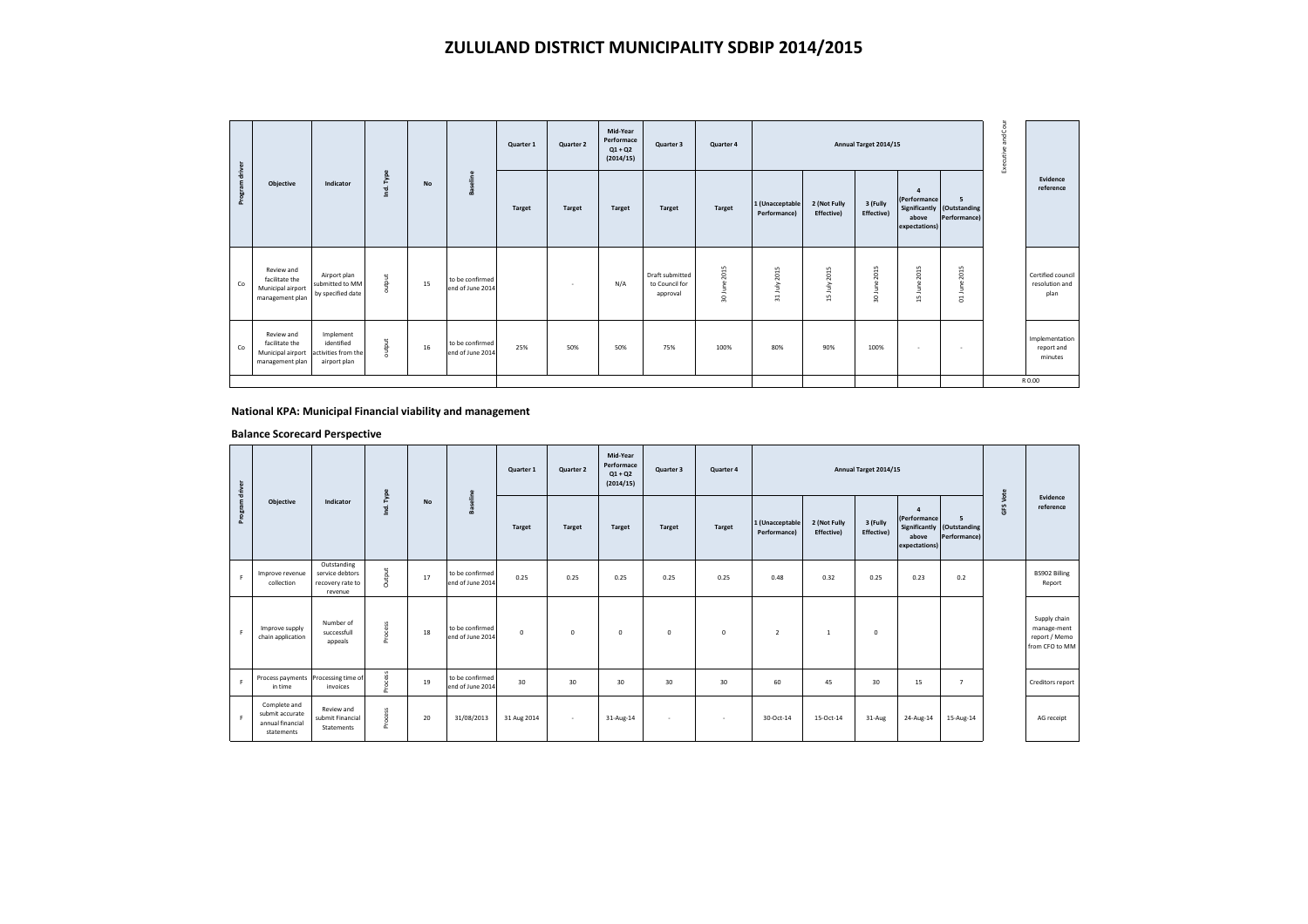# **ZULULAND DISTRICT MUNICIPALITY SDBIP 2014/2015**

|              |                                                                      |                                                                |           |           |                                     | Quarter 1     | Quarter 2     | Mid-Year<br>Performace<br>$Q1 + Q2$<br>(2014/15) | Quarter 3                                     | Quarter 4         |                                 |                            | Annual Target 2014/15               |                                                        |                                                 | Cour<br>and<br>Executive |                                                  |
|--------------|----------------------------------------------------------------------|----------------------------------------------------------------|-----------|-----------|-------------------------------------|---------------|---------------|--------------------------------------------------|-----------------------------------------------|-------------------|---------------------------------|----------------------------|-------------------------------------|--------------------------------------------------------|-------------------------------------------------|--------------------------|--------------------------------------------------|
| Program driv | Objective                                                            | Indicator                                                      | Ind. Type | <b>No</b> | Baseline                            | <b>Target</b> | <b>Target</b> | <b>Target</b>                                    | Target                                        | Target            | 1 (Unacceptable<br>Performance) | 2 (Not Fully<br>Effective) | 3 (Fully<br>Effective)              | $\mathbf{A}$<br>(Performance<br>above<br>expectations) | 5<br>Significantly (Outstanding<br>Performance) |                          | Evidence<br>reference                            |
| Co           | Review and<br>facilitate the<br>Municipal airport<br>management plan | Airport plan<br>submitted to MM<br>by specified date           | output    | 15        | to be confirmed<br>end of June 2014 |               | <b>COL</b>    | N/A                                              | Draft submitted<br>to Council for<br>approval | 2015<br>30 June 2 | 2015<br>July<br>24              | 15 July 2015               | 2015<br>۹Ë<br>$\equiv$<br>$\approx$ | 2015<br>June:<br>$\frac{1}{2}$                         | 2015<br>June:<br>$\overline{c}$                 |                          | Certified council<br>resolution and<br>plan      |
| Co           | Review and<br>facilitate the<br>Municipal airport<br>management plan | Implement<br>identified<br>activities from the<br>airport plan | output    | 16        | to be confirmed<br>end of June 2014 | 25%           | 50%           | 50%                                              | 75%                                           | 100%              | 80%                             | 90%                        | 100%                                | 14                                                     | $\sim$                                          |                          | Implementation<br>report and<br>minutes<br>R0.00 |

## **National KPA: Municipal Financial viability and management**

|                |                                                                   |                                                               |           |           |                                     | Quarter 1     | Quarter 2     | Mid-Year<br>Performace<br>$Q1 + Q2$<br>(2014/15) | Quarter 3     | Quarter 4     |                                 |                            | Annual Target 2014/15  |                                             |                                                 |          |                                                                |
|----------------|-------------------------------------------------------------------|---------------------------------------------------------------|-----------|-----------|-------------------------------------|---------------|---------------|--------------------------------------------------|---------------|---------------|---------------------------------|----------------------------|------------------------|---------------------------------------------|-------------------------------------------------|----------|----------------------------------------------------------------|
| Program driver | Objective                                                         | Indicator                                                     | Ind. Type | <b>No</b> | <b>Baseline</b>                     | <b>Target</b> | <b>Target</b> | <b>Target</b>                                    | <b>Target</b> | <b>Target</b> | 1 (Unacceptable<br>Performance) | 2 (Not Fully<br>Effective) | 3 (Fully<br>Effective) | 4<br>(Performance<br>above<br>expectations) | 5<br>Significantly (Outstanding<br>Performance) | GFS Vote | Evidence<br>reference                                          |
| F.             | Improve revenue<br>collection                                     | Outstanding<br>service debtors<br>recovery rate to<br>revenue | Output    | 17        | to be confirmed<br>end of June 2014 | 0.25          | 0.25          | 0.25                                             | 0.25          | 0.25          | 0.48                            | 0.32                       | 0.25                   | 0.23                                        | 0.2                                             |          | BS902 Billing<br>Report                                        |
| F.             | Improve supply<br>chain application                               | Number of<br>successfull<br>appeals                           | Process   | 18        | to be confirmed<br>end of June 2014 | $\mathbf 0$   | $\mathbf{0}$  | $\mathbf{0}$                                     | $\mathbf{0}$  | $\mathbf 0$   | $\overline{2}$                  | $\mathbf{1}$               | $\mathbf{0}$           |                                             |                                                 |          | Supply chain<br>manage-ment<br>report / Memo<br>from CFO to MM |
| F.             | Process payments Processing time of<br>in time                    | invoices                                                      | Process   | 19        | to be confirmed<br>end of June 2014 | 30            | 30            | 30                                               | 30            | 30            | 60                              | 45                         | 30                     | 15                                          | $\overline{7}$                                  |          | Creditors report                                               |
| F.             | Complete and<br>submit accurate<br>annual financial<br>statements | Review and<br>submit Financial<br>Statements                  | Process   | 20        | 31/08/2013                          | 31 Aug 2014   | $\sim$        | 31-Aug-14                                        | $\sim$        | $\sim$        | 30-Oct-14                       | 15-Oct-14                  | 31-Aug                 | 24-Aug-14                                   | 15-Aug-14                                       |          | AG receipt                                                     |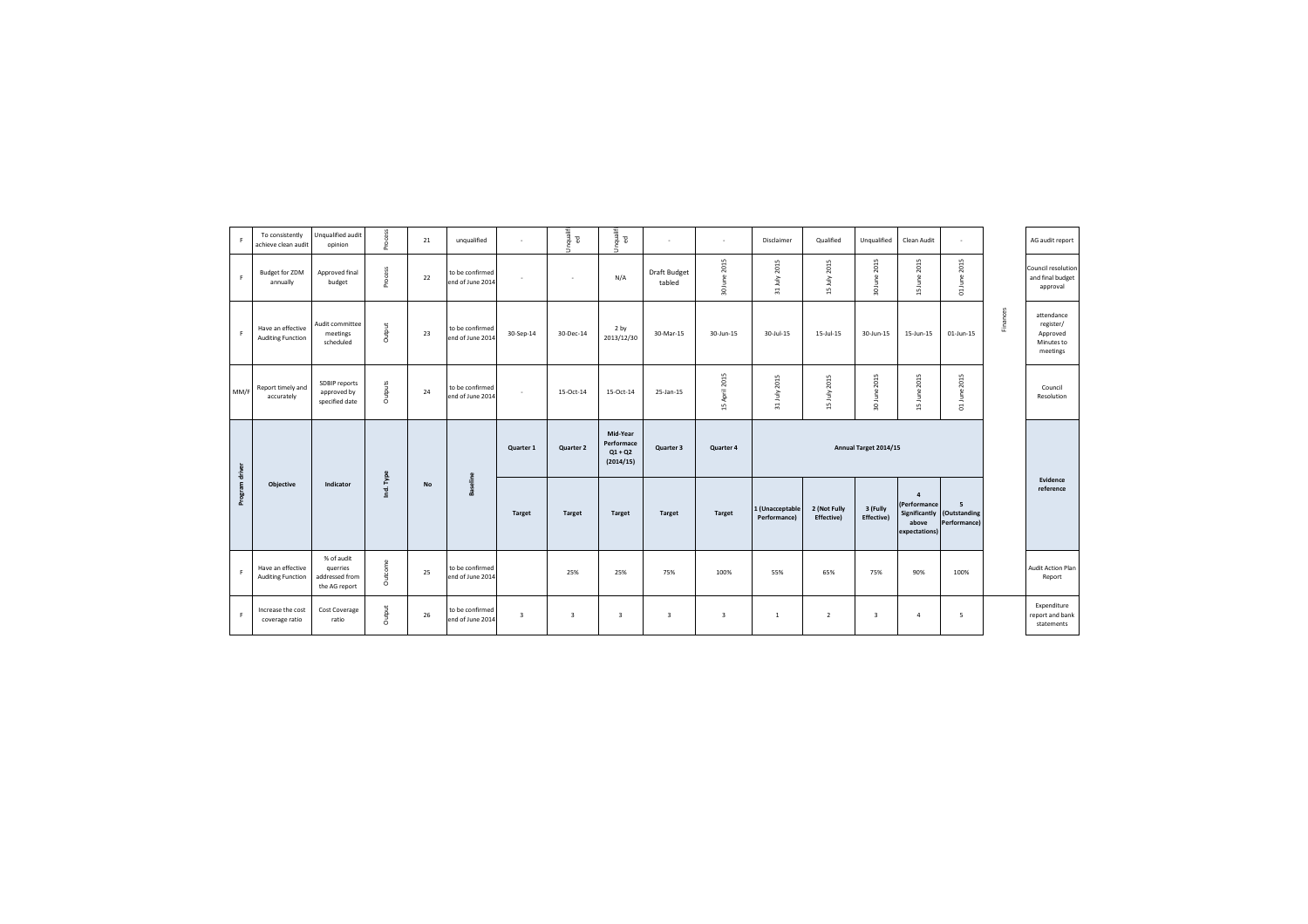| F.             | To consistently<br>achieve clean audit        | Unqualified audit<br>opinion                              | Process   | 21        | unqualified                         |                         | Unqualifi<br>$\Xi$ | Unqualifi<br>$\Xi$                               | $\sim$                        | ٠                       | Disclaimer                      | Qualified                  | Unqualified             | Clean Audit                                                               | ٠                                              |          | AG audit report                                               |
|----------------|-----------------------------------------------|-----------------------------------------------------------|-----------|-----------|-------------------------------------|-------------------------|--------------------|--------------------------------------------------|-------------------------------|-------------------------|---------------------------------|----------------------------|-------------------------|---------------------------------------------------------------------------|------------------------------------------------|----------|---------------------------------------------------------------|
| F              | <b>Budget for ZDM</b><br>annually             | Approved final<br>budget                                  | Process   | 22        | to be confirmed<br>end of June 2014 |                         | $\sim$             | N/A                                              | <b>Draft Budget</b><br>tabled | 30 June 2015            | 31 July 2015                    | 15 July 2015               | 30 June 2015            | 15 June 2015                                                              | June 2015<br>$\Xi$                             |          | Council resolution<br>and final budget<br>approval            |
| F              | Have an effective<br><b>Auditing Function</b> | Audit committee<br>meetings<br>scheduled                  | Output    | 23        | to be confirmed<br>end of June 2014 | 30-Sep-14               | 30-Dec-14          | 2 by<br>2013/12/30                               | 30-Mar-15                     | 30-Jun-15               | 30-Jul-15                       | 15-Jul-15                  | 30-Jun-15               | 15-Jun-15                                                                 | 01-Jun-15                                      | Finances | attendance<br>register/<br>Approved<br>Minutes to<br>meetings |
| MM/F           | Report timely and<br>accurately               | SDBIP reports<br>approved by<br>specified date            | Outputs   | 24        | to be confirmed<br>end of June 2014 | $\mathbf{r}$            | 15-Oct-14          | 15-Oct-14                                        | 25-Jan-15                     | 15 April 2015           | 31 July 2015                    | 15 July 2015               | June 2015<br>S.         | 15 June 2015                                                              | 2015<br><b>June</b><br>$\overline{\mathbf{c}}$ |          | Council<br>Resolution                                         |
|                |                                               |                                                           |           |           |                                     | Quarter 1               | <b>Quarter 2</b>   | Mid-Year<br>Performace<br>$Q1 + Q2$<br>(2014/15) | Quarter 3                     | Quarter 4               |                                 |                            | Annual Target 2014/15   |                                                                           |                                                |          |                                                               |
| Program driver | <b>Objective</b>                              | Indicator                                                 | Ind. Type | <b>No</b> | Baseline                            | <b>Target</b>           | <b>Target</b>      | <b>Target</b>                                    | <b>Target</b>                 | <b>Target</b>           | 1 (Unacceptable<br>Performance) | 2 (Not Fully<br>Effective) | 3 (Fully<br>Effective)  | $\overline{a}$<br>(Performance<br>Significantly<br>above<br>expectations) | 5<br>(Outstanding<br>Performance)              |          | Evidence<br>reference                                         |
| F.             | Have an effective<br><b>Auditing Function</b> | % of audit<br>querries<br>addressed from<br>the AG report | Outcome   | 25        | to be confirmed<br>end of June 2014 |                         | 25%                | 25%                                              | 75%                           | 100%                    | 55%                             | 65%                        | 75%                     | 90%                                                                       | 100%                                           |          | Audit Action Plan<br>Report                                   |
| F              | Increase the cost<br>coverage ratio           | <b>Cost Coverage</b><br>ratio                             | Output    | 26        | to be confirmed<br>end of June 2014 | $\overline{\mathbf{3}}$ | $\overline{3}$     | $\overline{\mathbf{3}}$                          | $\overline{\mathbf{3}}$       | $\overline{\mathbf{3}}$ | 1                               | $\overline{2}$             | $\overline{\mathbf{3}}$ | $\overline{4}$                                                            | 5                                              |          | Expenditure<br>report and bank<br>statements                  |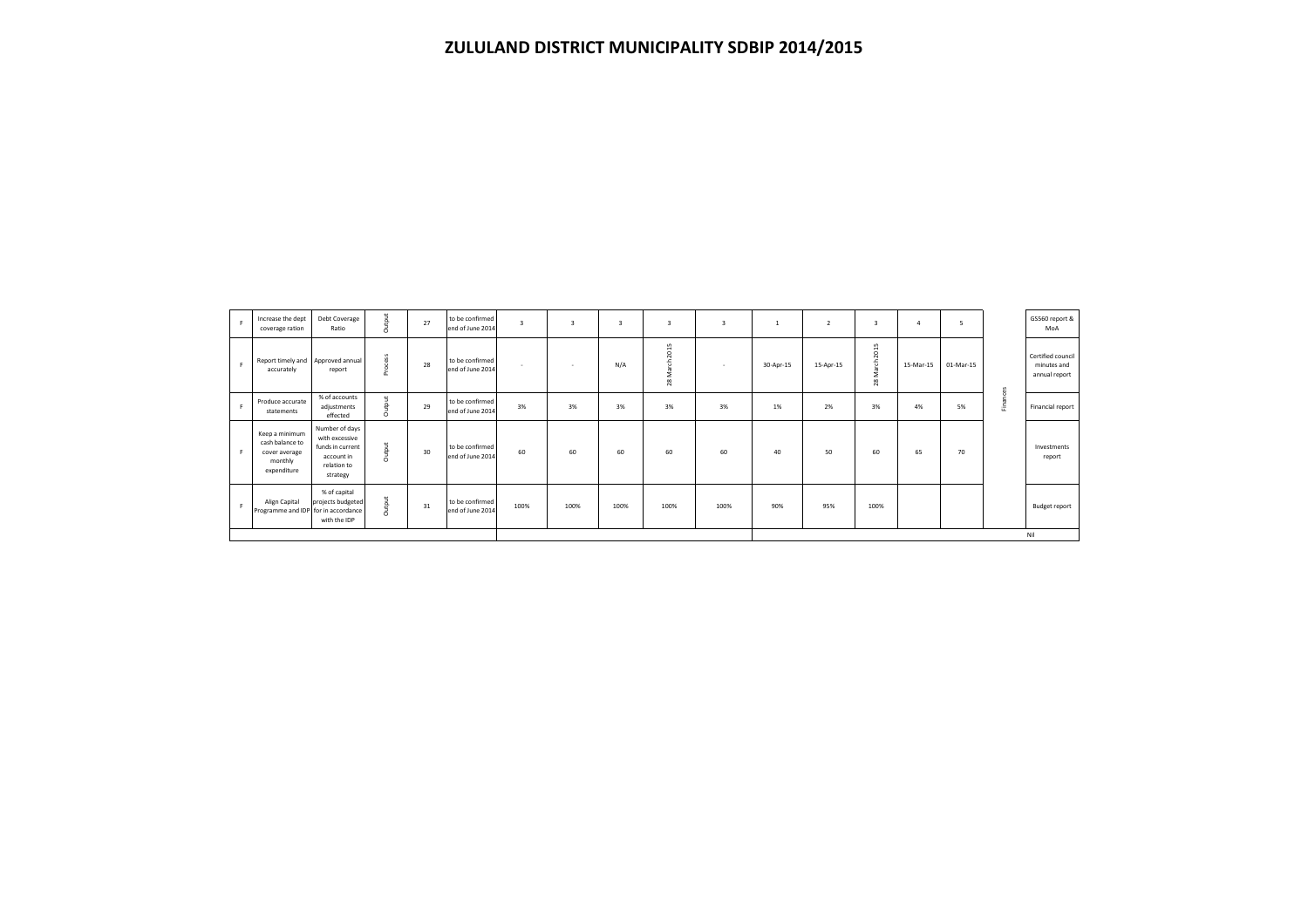| F           | Increase the dept<br>coverage ration                                         | Debt Coverage<br>Ratio                                                                        | Output  | 27 | to be confirmed<br>end of June 2014 |      | $\overline{3}$ | 3    | $\overline{3}$       | $\overline{3}$ |           | $\overline{2}$ | $\overline{3}$      | 4         | 5         |          | GS560 report &<br>MoA                             |
|-------------|------------------------------------------------------------------------------|-----------------------------------------------------------------------------------------------|---------|----|-------------------------------------|------|----------------|------|----------------------|----------------|-----------|----------------|---------------------|-----------|-----------|----------|---------------------------------------------------|
| F.          | Report timely and Approved annual<br>accurately                              | report                                                                                        | Process | 28 | to be confirmed<br>end of June 2014 | . .  | <b>A</b>       | N/A  | 2015<br>f<br>ŝ<br>28 | $\sim$         | 30-Apr-15 | 15-Apr-15      | 2015<br>March<br>28 | 15-Mar-15 | 01-Mar-15 |          | Certified council<br>minutes and<br>annual report |
| $\mathsf F$ | Produce accurate<br>statements                                               | % of accounts<br>adjustments<br>effected                                                      | Output  | 29 | to be confirmed<br>end of June 2014 | 3%   | 3%             | 3%   | 3%                   | 3%             | 1%        | 2%             | 3%                  | 4%        | 5%        | Finances | Financial report                                  |
| F.          | Keep a minimum<br>cash balance to<br>cover average<br>monthly<br>expenditure | Number of days<br>with excessive<br>funds in current<br>account in<br>relation to<br>strategy | Output  | 30 | to be confirmed<br>end of June 2014 | 60   | 60             | 60   | 60                   | 60             | 40        | 50             | 60                  | 65        | 70        |          | Investments<br>report                             |
| F           | Align Capital<br>Programme and IDP for in accordance                         | % of capital<br>projects budgeted<br>with the IDP                                             | Output  | 31 | to be confirmed<br>end of June 2014 | 100% | 100%           | 100% | 100%                 | 100%           | 90%       | 95%            | 100%                |           |           |          | Budget report                                     |
|             |                                                                              |                                                                                               |         |    |                                     |      |                |      |                      |                |           |                |                     |           |           |          | Nil                                               |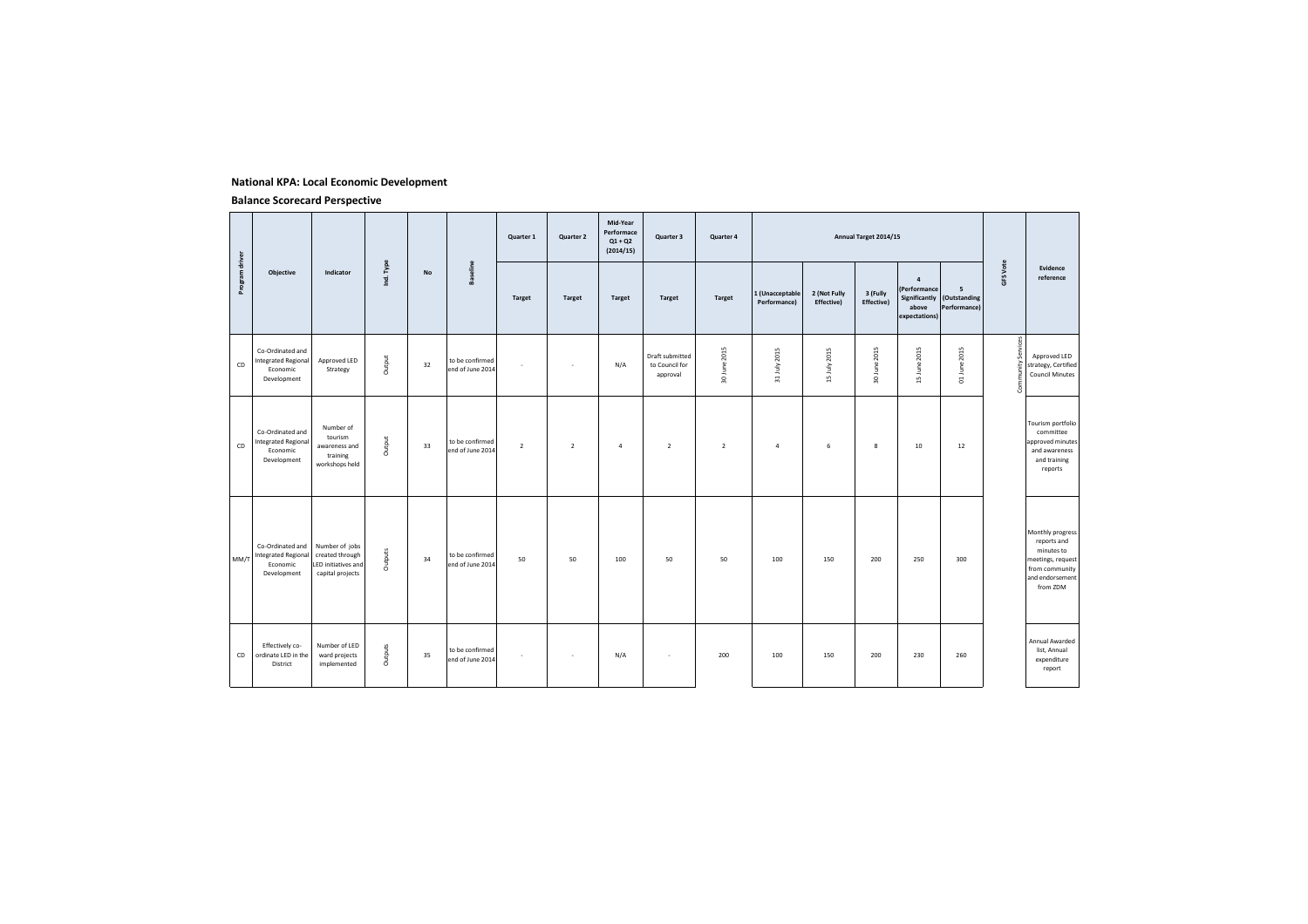#### **National KPA: Local Economic Development**

|                |                                                                           |                                                                              |           |    |                                     | Quarter 1      | Quarter 2      | Mid-Year<br>Performace<br>$Q1 + Q2$<br>(2014/15) | Quarter 3                                     | Quarter 4      |                                 |                            | Annual Target 2014/15  |                                                          |                                                 |                       |                                                                                                                     |
|----------------|---------------------------------------------------------------------------|------------------------------------------------------------------------------|-----------|----|-------------------------------------|----------------|----------------|--------------------------------------------------|-----------------------------------------------|----------------|---------------------------------|----------------------------|------------------------|----------------------------------------------------------|-------------------------------------------------|-----------------------|---------------------------------------------------------------------------------------------------------------------|
| Program driver | Objective                                                                 | Indicator                                                                    | Ind. Type | No | <b>Baseline</b>                     | <b>Target</b>  | <b>Target</b>  | <b>Target</b>                                    | <b>Target</b>                                 | <b>Target</b>  | 1 (Unacceptable<br>Performance) | 2 (Not Fully<br>Effective) | 3 (Fully<br>Effective) | $\overline{a}$<br>(Performance<br>above<br>expectations) | 5<br>Significantly (Outstanding<br>Performance) | <b>GFS Vote</b>       | Evidence<br>reference                                                                                               |
| CD             | Co-Ordinated and<br><b>Integrated Regional</b><br>Economic<br>Development | Approved LED<br>Strategy                                                     | Output    | 32 | to be confirmed<br>end of June 2014 | ٠              | $\epsilon$     | N/A                                              | Draft submitted<br>to Council for<br>approval | 30 June 2015   | 31 July 2015                    | 15 July 2015               | 2015<br>30 June        | 15 June 2015                                             | 01 June 2015                                    | Services<br>Community | Approved LED<br>strategy, Certified<br><b>Council Minutes</b>                                                       |
| CD             | Co-Ordinated and<br>Integrated Regional<br>Economic<br>Development        | Number of<br>tourism<br>awareness and<br>training<br>workshops held          | Output    | 33 | to be confirmed<br>end of June 2014 | $\overline{2}$ | $\overline{2}$ | $\overline{a}$                                   | $\overline{2}$                                | $\overline{2}$ | $\overline{4}$                  | 6                          | 8                      | 10                                                       | 12                                              |                       | Tourism portfolio<br>committee<br>approved minutes<br>and awareness<br>and training<br>reports                      |
| MM/T           | Co-Ordinated and<br><b>Integrated Regional</b><br>Economic<br>Development | Number of jobs<br>created through<br>LED initiatives and<br>capital projects | Outputs   | 34 | to be confirmed<br>end of June 2014 | 50             | 50             | 100                                              | 50                                            | 50             | 100                             | 150                        | 200                    | 250                                                      | 300                                             |                       | Monthly progress<br>reports and<br>minutes to<br>meetings, request<br>from community<br>and endorsement<br>from ZDM |
| CD             | Effectively co-<br>ordinate LED in the<br>District                        | Number of LED<br>ward projects<br>implemented                                | Outputs   | 35 | to be confirmed<br>end of June 2014 | $\sim$         | $\sim$         | N/A                                              | $\sim$                                        | 200            | 100                             | 150                        | 200                    | 230                                                      | 260                                             |                       | Annual Awarded<br>list, Annual<br>expenditure<br>report                                                             |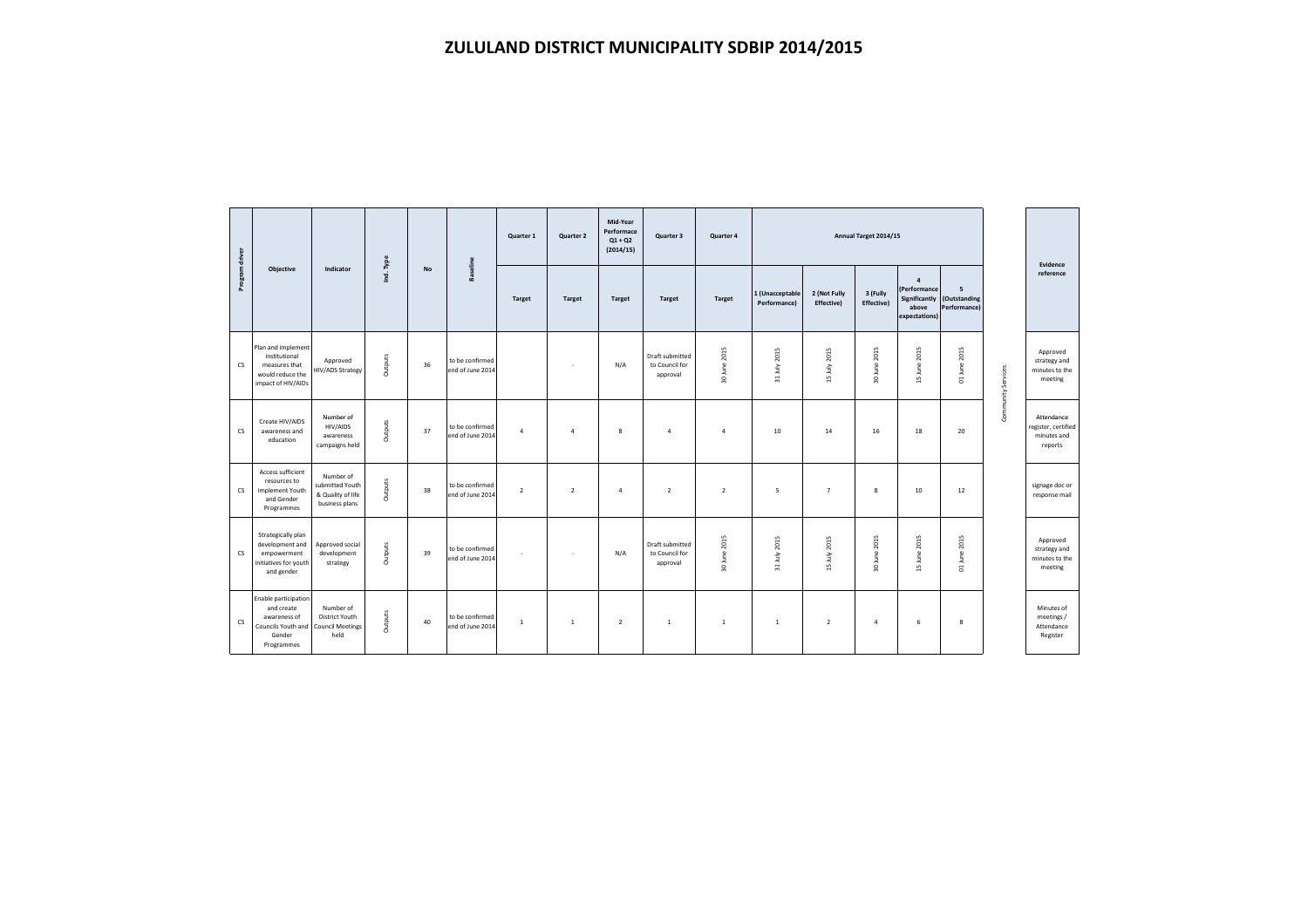|                |                                                                                                  |                                                                       |           |    |                                     | Quarter 1      | Quarter 2      | Mid-Year<br>Performace<br>$Q1 + Q2$<br>(2014/15) | Quarter 3                                     | Quarter 4      |                                        |                            | Annual Target 2014/15         |                                                                                   |                                   |                    | Evidence                                                    |
|----------------|--------------------------------------------------------------------------------------------------|-----------------------------------------------------------------------|-----------|----|-------------------------------------|----------------|----------------|--------------------------------------------------|-----------------------------------------------|----------------|----------------------------------------|----------------------------|-------------------------------|-----------------------------------------------------------------------------------|-----------------------------------|--------------------|-------------------------------------------------------------|
| Program driver | <b>Objective</b>                                                                                 | Indicator                                                             | Ind. Type | No | Baseline                            | <b>Target</b>  | <b>Target</b>  | <b>Target</b>                                    | <b>Target</b>                                 | <b>Target</b>  | 1 (Unacceptable<br><b>Performancel</b> | 2 (Not Fully<br>Effective) | 3 (Fully<br><b>Effective)</b> | $\overline{4}$<br><b>(Performance)</b><br>Significantly<br>above<br>expectations) | 5<br>(Outstanding<br>Performance) |                    | reference                                                   |
| $\mathsf{cs}$  | Plan and implement<br>institutional<br>measures that<br>would reduce the<br>impact of HIV/AIDs   | Approved<br>HIV/ADS Strategy                                          | Outputs   | 36 | to be confirmed<br>end of June 2014 |                | ٠              | N/A                                              | Draft submitted<br>to Council for<br>approval | 30 June 2015   | 31 July 2015                           | 15 July 2015               | 30 June 2015                  | 15 June 2015                                                                      | 01 June 2015                      | Community Services | Approved<br>strategy and<br>minutes to the<br>meeting       |
| <b>CS</b>      | Create HIV/AIDS<br>awareness and<br>education                                                    | Number of<br>HIV/AIDS<br>awareness<br>campaigns held                  | Outputs   | 37 | to be confirmed<br>end of June 2014 | $\overline{a}$ | $\overline{4}$ | $\boldsymbol{8}$                                 | $\overline{4}$                                | $\overline{a}$ | 10                                     | 14                         | 16                            | 18                                                                                | 20                                |                    | Attendance<br>register, certified<br>minutes and<br>reports |
| cs             | Access sufficient<br>resources to<br>implement Youth<br>and Gender<br>Programmes                 | Number of<br>submitted Youth<br>& Quality of life<br>business plans   | Outputs   | 38 | to be confirmed<br>end of June 2014 | $\overline{2}$ | $\overline{2}$ | $\overline{4}$                                   | $\overline{2}$                                | $\overline{2}$ | 5                                      | $\overline{7}$             | 8                             | 10                                                                                | 12                                |                    | signage doc or<br>response mail                             |
| <b>CS</b>      | Strategically plan<br>development and<br>empowerment<br>initiatives for youth<br>and gender      | Approved social<br>development<br>strategy                            | Outputs   | 39 | to be confirmed<br>end of June 2014 | $\mathbf{r}$   | - 11           | N/A                                              | Draft submitted<br>to Council for<br>approval | 30 June 2015   | 31 July 2015                           | 15 July 2015               | 30 June 2015                  | 15 June 2015                                                                      | 2015<br>01 June                   |                    | Approved<br>strategy and<br>minutes to the<br>meeting       |
| cs             | Enable participation<br>and create<br>awareness of<br>Councils Youth and<br>Gender<br>Programmes | Number of<br><b>District Youth</b><br><b>Council Meetings</b><br>held | Outputs   | 40 | to be confirmed<br>end of June 2014 | $\overline{1}$ | <sup>1</sup>   | $\overline{2}$                                   | $\mathbf{1}$                                  | $\mathbf{1}$   | 1                                      | $\overline{2}$             | $\overline{a}$                | 6                                                                                 | 8                                 |                    | Minutes of<br>meetings /<br>Attendance<br>Register          |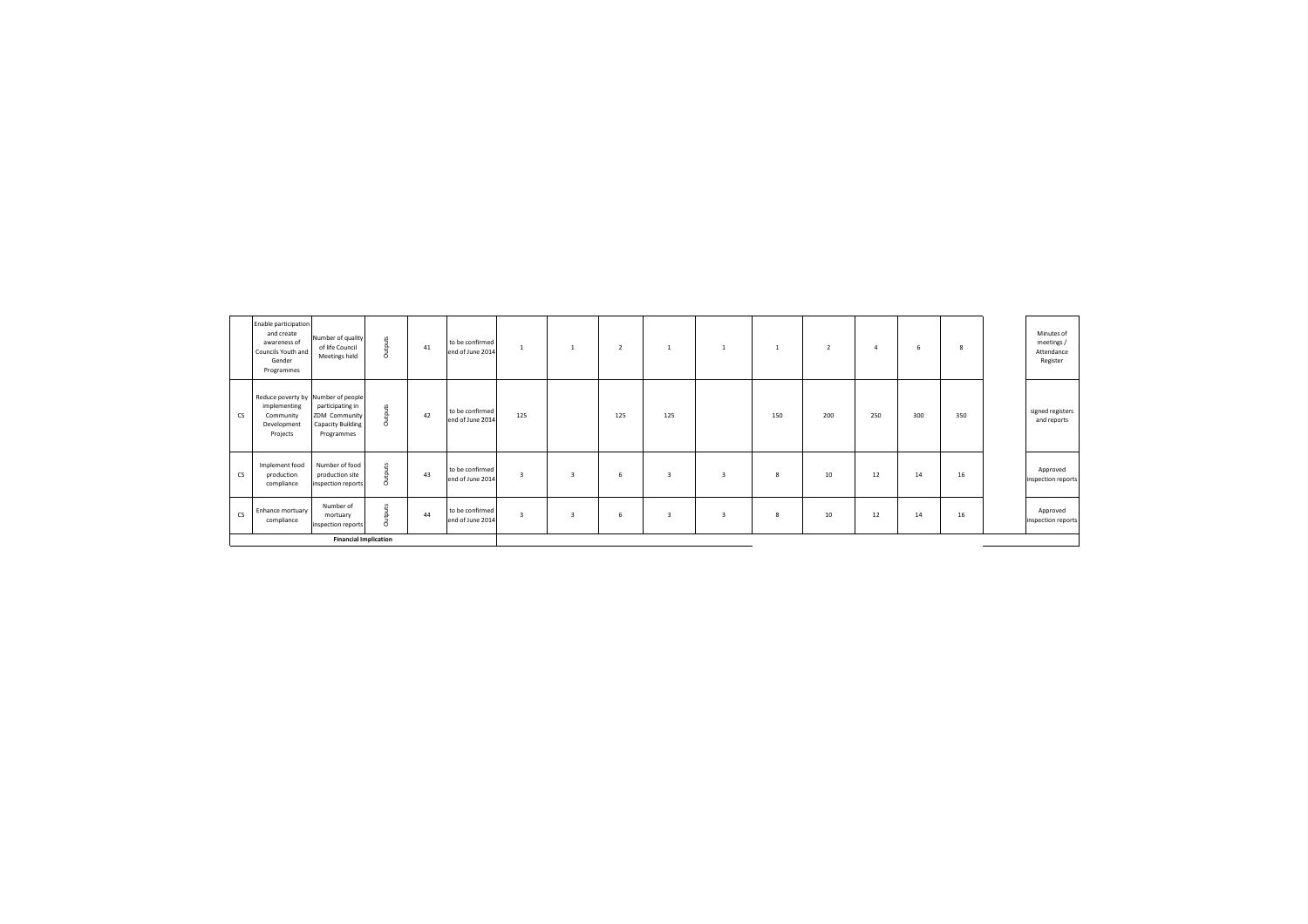|           | Enable participation<br>and create<br>awareness of<br>Councils Youth and<br>Gender<br>Programmes | Number of quality<br>of life Council<br>Meetings held                | Outputs | 41 | to be confirmed<br>end of June 2014 |                         |                | $\overline{2}$ |                | $\mathbf{1}$            |     | $\overline{2}$ | $\overline{a}$ | 6   | 8   | Minutes of<br>meetings /<br>Attendance<br>Register |
|-----------|--------------------------------------------------------------------------------------------------|----------------------------------------------------------------------|---------|----|-------------------------------------|-------------------------|----------------|----------------|----------------|-------------------------|-----|----------------|----------------|-----|-----|----------------------------------------------------|
| <b>CS</b> | Reduce poverty by Number of people<br>implementing<br>Community<br>Development<br>Projects       | participating in<br>ZDM Community<br>Capacity Building<br>Programmes | Outputs | 42 | to be confirmed<br>end of June 2014 | 125                     |                | 125            | 125            |                         | 150 | 200            | 250            | 300 | 350 | signed registers<br>and reports                    |
| <b>CS</b> | Implement food<br>production<br>compliance                                                       | Number of food<br>production site<br>inspection reports              | Outputs | 43 | to be confirmed<br>end of June 2014 | $\overline{\mathbf{3}}$ | $\overline{3}$ | 6              | $\overline{3}$ | $\overline{3}$          | 8   | 10             | 12             | 14  | 16  | Approved<br>inspection reports                     |
| <b>CS</b> | Enhance mortuary<br>compliance                                                                   | Number of<br>mortuary<br>inspection reports                          | Outputs | 44 | to be confirmed<br>end of June 2014 | $\overline{\mathbf{3}}$ | $\mathbf{a}$   | 6              | $\overline{3}$ | $\overline{\mathbf{3}}$ | 8   | 10             | 12             | 14  | 16  | Approved<br>inspection reports                     |
|           | <b>Financial Implication</b>                                                                     |                                                                      |         |    |                                     |                         |                |                |                |                         |     |                |                |     |     |                                                    |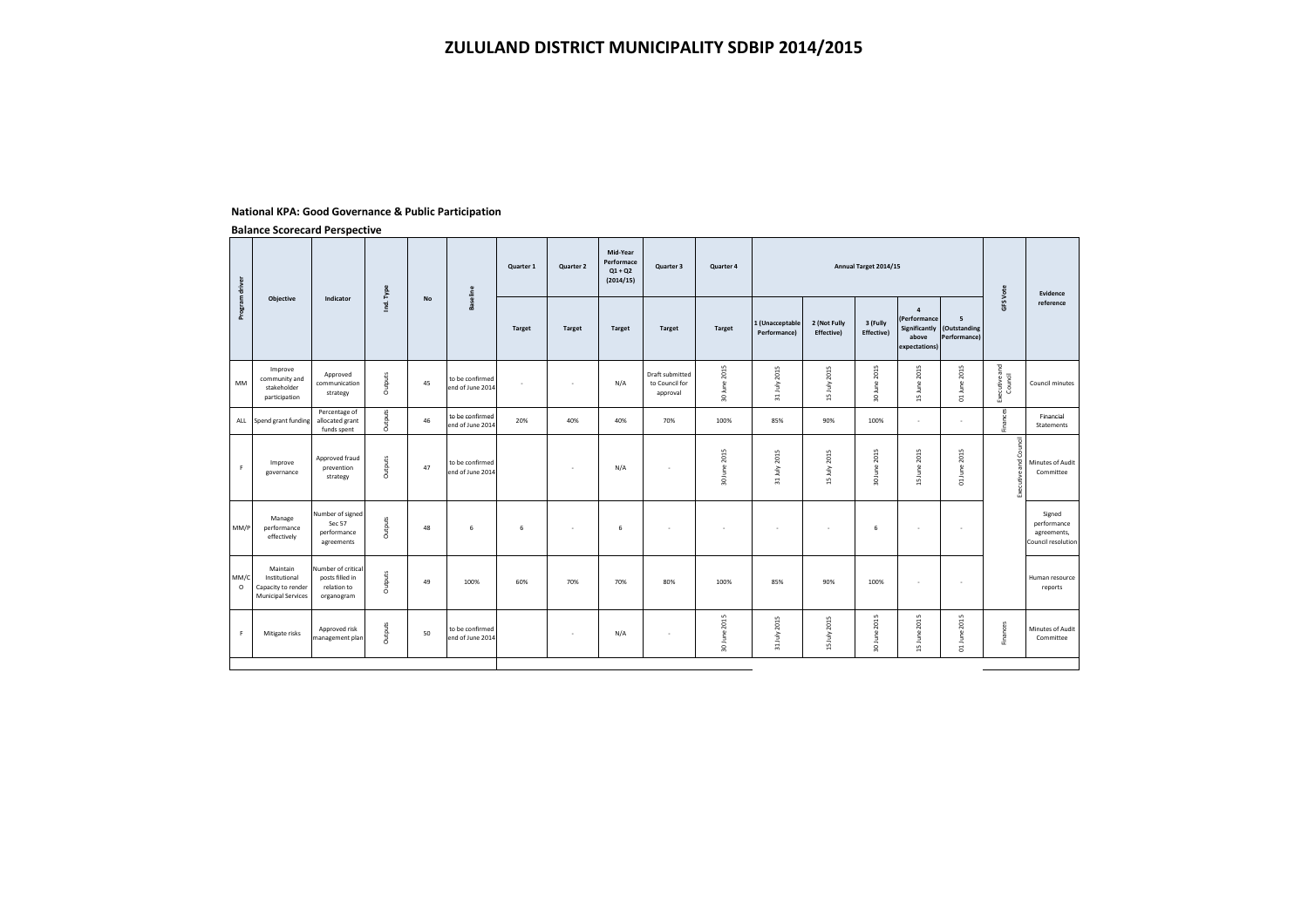## **National KPA: Good Governance & Public Participation**

|                                                                              |                                                                    |                                                  |           |                                     | Quarter 1       | Quarter 2     | Mid-Year<br>Performace<br>$Q1 + Q2$<br>(2014/15) | Quarter 3                                     | Quarter 4     |                                 |                            |                        |                         |                       |                                                             | Evidence                                                   |
|------------------------------------------------------------------------------|--------------------------------------------------------------------|--------------------------------------------------|-----------|-------------------------------------|-----------------|---------------|--------------------------------------------------|-----------------------------------------------|---------------|---------------------------------|----------------------------|------------------------|-------------------------|-----------------------|-------------------------------------------------------------|------------------------------------------------------------|
|                                                                              |                                                                    |                                                  |           |                                     | <b>Target</b>   | <b>Target</b> | <b>Target</b>                                    | <b>Target</b>                                 | <b>Target</b> | 1 (Unacceptable<br>Performance) | 2 (Not Fully<br>Effective) | 3 (Fully<br>Effective) | $\overline{4}$<br>above | 5<br>Performance)     |                                                             | reference                                                  |
| Improve<br>community and<br>stakeholder<br>participation                     | Approved<br>communication<br>strategy                              | Outputs                                          | 45        | to be confirmed<br>end of June 2014 | ٠               | $\sim$        | N/A                                              | Draft submitted<br>to Council for<br>approval | 30 June 2015  | 31 July 2015                    | 15 July 2015               | 30 June 2015           | 15 June 2015            | 01 June 2015          | Executive and<br>Council                                    | Council minutes                                            |
|                                                                              | Percentage of<br>allocated grant<br>funds spent                    | Outputs                                          | 46        | to be confirmed<br>end of June 2014 | 20%             | 40%           | 40%                                              | 70%                                           | 100%          | 85%                             | 90%                        | 100%                   | ÷.                      | $\mathbf{r}$          | Finances                                                    | Financial<br>Statements                                    |
| Improve<br>governance                                                        | Approved fraud<br>prevention<br>strategy                           | Outputs                                          | 47        | to be confirmed<br>end of June 2014 |                 | ٠             | N/A                                              | ٠                                             | 30 June 2015  | 31 July 2015                    | 15 July 2015               | 2015<br>30 June        | 15 June 2015            | 2015<br>01 June       | 콩<br>Ħ                                                      | Minutes of Audit<br>Committee                              |
| Manage<br>performance<br>effectively                                         | Sec 57<br>performance<br>agreements                                | Outputs                                          | 48        | 6                                   | 6               | ٠             | 6                                                | ٠                                             | ٠             | ٠                               | $\sim$                     | 6                      | ٠                       | $\sim$                |                                                             | Signed<br>performance<br>agreements,<br>Council resolution |
| Maintain<br>Institutional<br>Capacity to render<br><b>Municipal Services</b> | Number of critical<br>posts filled in<br>relation to<br>organogram | Outputs                                          | 49        | 100%                                | 60%             | 70%           | 70%                                              | 80%                                           | 100%          | 85%                             | 90%                        | 100%                   | ٠                       | ٠                     |                                                             | Human resource<br>reports                                  |
| Mitigate risks                                                               | Approved risk                                                      | Outputs                                          | 50        | to be confirmed<br>end of June 2014 |                 | $\sim$        | N/A                                              | $\sim$                                        | 30 June 2015  | 31 July 2015                    | 15 July 2015               | 2015<br>30 June        | 15 June 2015            | 01 June 2015          | Finances                                                    | Minutes of Audit<br>Committee                              |
|                                                                              | <b>Objective</b><br>Spend grant funding                            | Indicator<br>Number of signed<br>management plan | Ind. Type | No                                  | <b>Baseline</b> |               |                                                  |                                               |               |                                 |                            |                        |                         | Annual Target 2014/15 | (Performance<br>Significantly (Outstanding<br>expectations) | GFS Vote                                                   |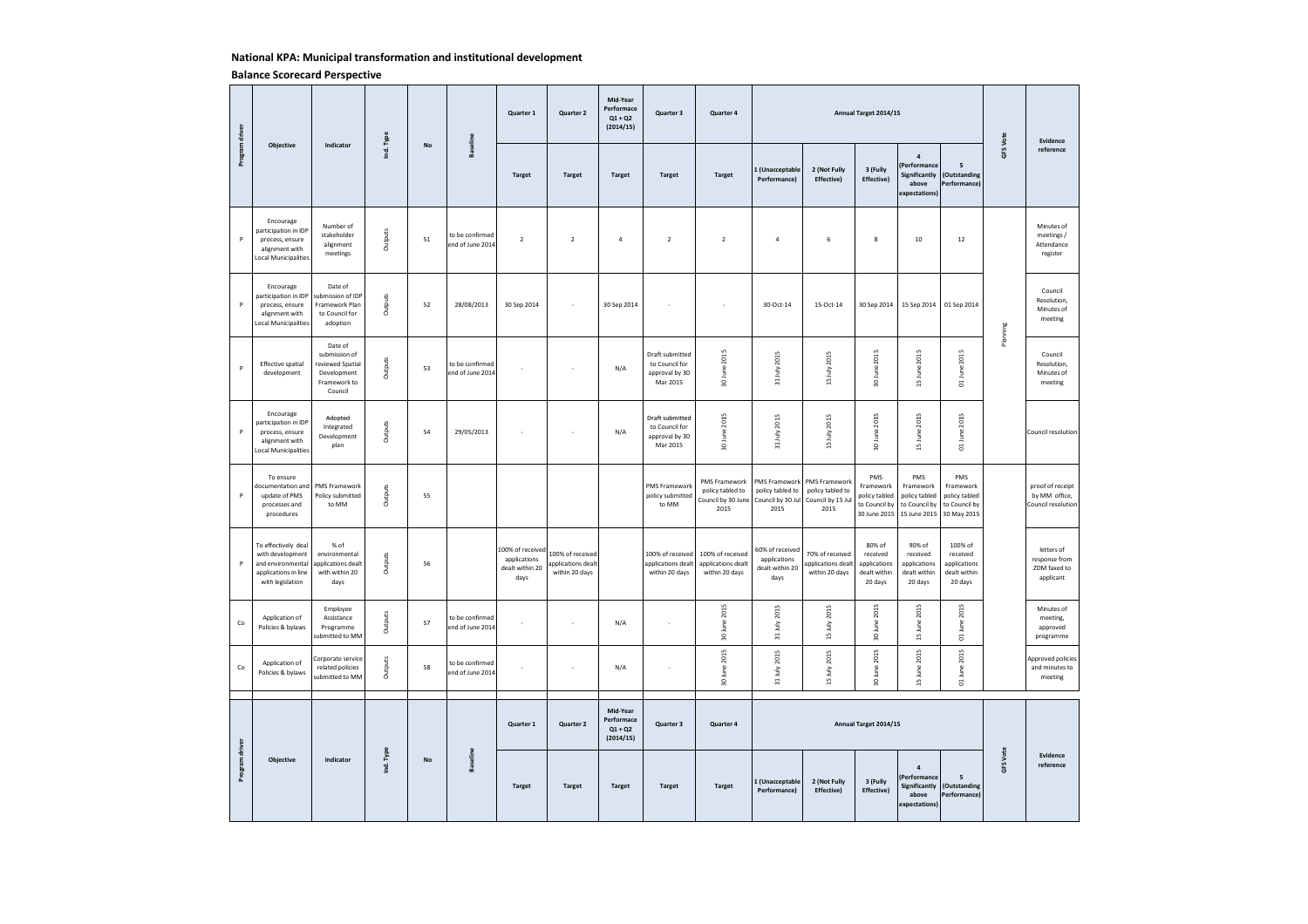# **National KPA: Municipal transformation and institutional development**

|                      |                                                                                                          |                                                                                       |              |    |                                     | Quarter 1                                                   | Quarter 2                                                | Mid-Year<br>Performace<br>$Q1 + Q2$<br>(2014/15) | Quarter 3                                                       | Quarter 4                                                       |                                                                |                                                                | Annual Target 2014/15                                              |                                                                          |                                                                   |          | Evidence                                                 |
|----------------------|----------------------------------------------------------------------------------------------------------|---------------------------------------------------------------------------------------|--------------|----|-------------------------------------|-------------------------------------------------------------|----------------------------------------------------------|--------------------------------------------------|-----------------------------------------------------------------|-----------------------------------------------------------------|----------------------------------------------------------------|----------------------------------------------------------------|--------------------------------------------------------------------|--------------------------------------------------------------------------|-------------------------------------------------------------------|----------|----------------------------------------------------------|
| Program driver       | Objective                                                                                                | Indicator                                                                             | Ind. Type    | No | <b>Baseline</b>                     | <b>Target</b>                                               | <b>Target</b>                                            | <b>Target</b>                                    | <b>Target</b>                                                   | <b>Target</b>                                                   | 1 (Unacceptable<br>Performancel                                | 2 (Not Fully<br><b>Effective)</b>                              | 3 (Fully<br>Effective)                                             | $\overline{a}$<br>Performance<br>Significantly<br>above<br>expectations) | 5<br>(Outstanding<br>Performance)                                 | GFS Vote | reference                                                |
| P                    | Encourage<br>participation in IDP<br>process, ensure<br>alignment with<br>Local Municipalities           | Number of<br>stakeholder<br>alignment<br>meetings                                     | Outputs      | 51 | to be confirmed<br>end of June 2014 | $\overline{2}$                                              | $\overline{2}$                                           | $\sqrt{4}$                                       | $\overline{2}$                                                  | $\overline{2}$                                                  | $\overline{4}$                                                 | 6                                                              | $\bf{8}$                                                           | 10                                                                       | 12                                                                |          | Minutes of<br>meetings /<br>Attendance<br>register       |
| P                    | Encourage<br>participation in IDP<br>process, ensure<br>alignment with<br>Local Municipalities           | Date of<br>submission of IDP<br>Framework Plan<br>to Council for<br>adoption          | Outputs      | 52 | 28/08/2013                          | 30 Sep 2014                                                 | J.                                                       | 30 Sep 2014                                      | i,                                                              | i,                                                              | 30-Oct-14                                                      | 15-Oct-14                                                      | 30 Sep 2014                                                        |                                                                          | 15 Sep 2014 01 Sep 2014                                           | Planning | Council<br>Resolution,<br>Minutes of<br>meeting          |
| P                    | <b>Effective spatial</b><br>development                                                                  | Date of<br>submission of<br>eviewed Spatial<br>Development<br>Framework to<br>Council | Outputs      | 53 | to be confirmed<br>end of June 2014 |                                                             |                                                          | N/A                                              | Draft submitted<br>to Council for<br>approval by 30<br>Mar 2015 | 30 June 2015                                                    | 31 July 2015                                                   | 15 July 2015                                                   | 30 June 2015                                                       | 15 June 2015                                                             | 01 June 2015                                                      |          | Council<br>Resolution,<br>Minutes of<br>meeting          |
| P                    | Encourage<br>participation in IDP<br>process, ensure<br>alignment with<br>Local Municipalities           | Adopted<br>Integrated<br>Development<br>plan                                          | Outputs      | 54 | 29/05/2013                          |                                                             |                                                          | N/A                                              | Draft submitted<br>to Council for<br>approval by 30<br>Mar 2015 | 30 June 2015                                                    | 31 July 2015                                                   | 15 July 2015                                                   | 30 June 2015                                                       | 15 June 2015                                                             | 01 June 2015                                                      |          | Council resolution                                       |
| P                    | To ensure<br>documentation and<br>update of PMS<br>processes and<br>procedures                           | PMS Framework<br>Policy submitted<br>to MM                                            | Outputs      | 55 |                                     |                                                             |                                                          |                                                  | PMS Framework<br>policy submitted<br>to MM                      | PMS Framework<br>policy tabled to<br>Council by 30 June<br>2015 | PMS Framework<br>policy tabled to<br>Council by 30 Jul<br>2015 | PMS Framework<br>policy tabled to<br>Council by 15 Jul<br>2015 | PMS<br>Framework<br>policy tabled<br>to Council by<br>30 June 2015 | PMS<br>Framework<br>policy tabled<br>to Council by<br>15 June 2015       | PMS<br>Framework<br>policy tabled<br>to Council by<br>30 May 2015 |          | proof of receipt<br>by MM office,<br>Council resolution  |
| P                    | To effectively deal<br>with development<br>and environmental<br>applications in line<br>with legislation | % of<br>environmental<br>applications dealt<br>with within 20<br>days                 | Outputs      | 56 |                                     | 100% of received<br>applications<br>dealt within 20<br>days | 100% of received<br>applications dealt<br>within 20 days |                                                  | 100% of received<br>applications dealt<br>within 20 days        | 100% of received<br>applications dealt<br>within 20 days        | 60% of received<br>applications<br>dealt within 20<br>days     | 70% of received<br>applications dealt<br>within 20 days        | 80% of<br>received<br>applications<br>dealt within<br>20 days      | 90% of<br>received<br>applications<br>dealt within<br>20 days            | 100% of<br>received<br>applications<br>dealt within<br>20 days    |          | letters of<br>response from<br>ZDM faxed to<br>applicant |
| $\mathsf{Co}\xspace$ | Application of<br>Policies & bylaws                                                                      | Employee<br>Assistance<br>Programme<br>submitted to MM                                | Outputs      | 57 | to be confirmed<br>end of June 2014 | ÷.                                                          | ÷                                                        | N/A                                              | ×,                                                              | 30 June 2015                                                    | 31 July 2015                                                   | 15 July 2015                                                   | 30 June 2015                                                       | 15 June 2015                                                             | 01 June 2015                                                      |          | Minutes of<br>meeting,<br>approved<br>programme          |
| $\mathsf{Co}\xspace$ | Application of<br>Policies & bylaws                                                                      | Corporate service<br>related policies<br>submitted to MM                              | Outputs      | 58 | to be confirmed<br>end of June 2014 | i.                                                          | ÷                                                        | N/A                                              | ×,                                                              | 30 June 2015                                                    | 31 July 2015                                                   | 15 July 2015                                                   | 2015<br>30 June                                                    | 15 June 2015                                                             | 2015<br>01 June                                                   |          | Approved policies<br>and minutes to<br>meeting           |
|                      |                                                                                                          |                                                                                       |              |    |                                     | Quarter 1                                                   | Quarter 2                                                | Mid-Year<br>Performace<br>$Q1 + Q2$<br>(2014/15) | Quarter 3                                                       | Quarter 4                                                       |                                                                |                                                                | Annual Target 2014/15                                              |                                                                          |                                                                   |          |                                                          |
| Program driver       | Objective                                                                                                | Indicator                                                                             | . Type<br>Ξġ | No | Baseline                            | <b>Target</b>                                               | <b>Target</b>                                            | <b>Target</b>                                    | <b>Target</b>                                                   | <b>Target</b>                                                   | 1 (Unacceptable<br>Performance)                                | 2 (Not Fully<br>Effective)                                     | 3 (Fully<br>Effective)                                             | $\overline{a}$<br>Performance<br>Significantly<br>above<br>expectations) | 5<br>(Outstanding<br>Performance)                                 | GFS Vote | Evidence<br>reference                                    |